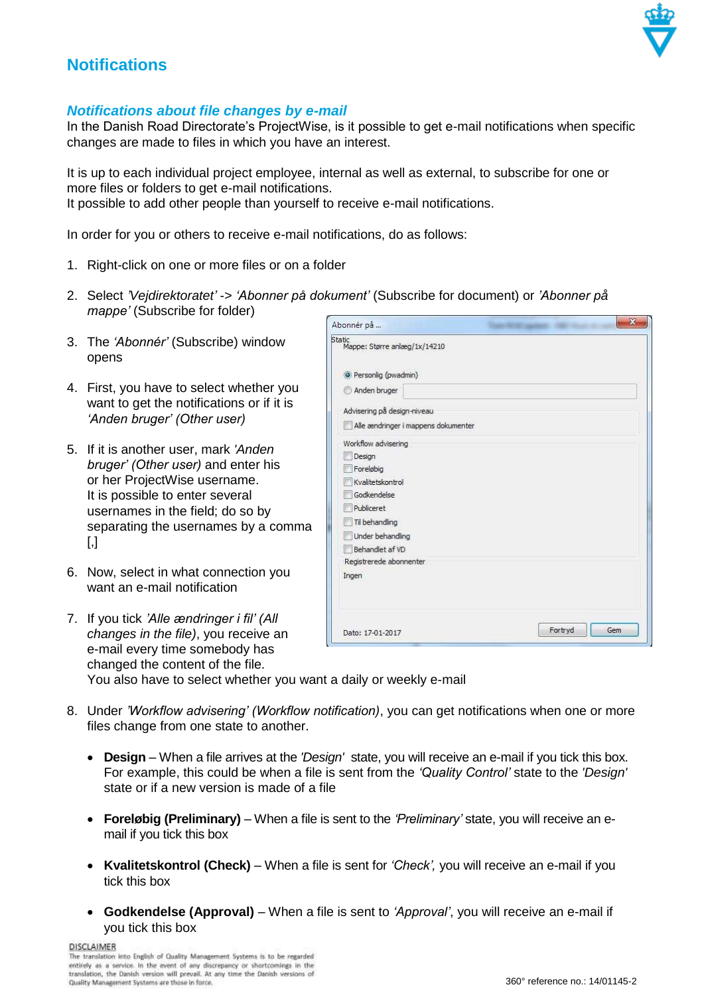

## **Notifications**

## *Notifications about file changes by e-mail*

In the Danish Road Directorate's ProjectWise, is it possible to get e-mail notifications when specific changes are made to files in which you have an interest.

It is up to each individual project employee, internal as well as external, to subscribe for one or more files or folders to get e-mail notifications. It possible to add other people than yourself to receive e-mail notifications.

In order for you or others to receive e-mail notifications, do as follows:

- 1. Right-click on one or more files or on a folder
- 2. Select *'Vejdirektoratet'* -> *'Abonner på dokument'* (Subscribe for document) or *'Abonner på mappe'* (Subscribe for folder)  $\sim$
- 3. The *'Abonnér'* (Subscribe) window opens
- 4. First, you have to select whether you want to get the notifications or if it is *'Anden bruger' (Other user)*
- 5. If it is another user, mark *'Anden bruger' (Other user)* and enter his or her ProjectWise username. It is possible to enter several usernames in the field; do so by separating the usernames by a comma  $\lceil$ ,
- 6. Now, select in what connection you want an e-mail notification

| Abonner på                             | <b>Contract Contract Contract Contract</b> |
|----------------------------------------|--------------------------------------------|
| Static<br>Mappe: Større anlæg/1x/14210 |                                            |
| <sup>O</sup> Personlig (pwadmin)       |                                            |
| Anden bruger                           |                                            |
| Advisering på design-niveau            |                                            |
| Alle ændringer i mappens dokumenter    |                                            |
| Workflow advisering                    |                                            |
| Design                                 |                                            |
| Foreløbig                              |                                            |
| Kvalitetskontrol                       |                                            |
| Godkendelse                            |                                            |
| Publiceret                             |                                            |
| Til behandling                         |                                            |
| Under behandling                       |                                            |
| Behandlet af VD                        |                                            |
| Registrerede abonnenter                |                                            |
| Ingen                                  |                                            |
|                                        |                                            |
| Dato: 17-01-2017                       | Fortryd<br>Gem                             |

| 7. If you tick 'Alle ændringer i fil' (All                        |                  |
|-------------------------------------------------------------------|------------------|
| changes in the file), you receive an                              | Dato: 17-01-2017 |
| e-mail every time somebody has                                    |                  |
| changed the content of the file.                                  |                  |
| You also have to select whether you want a daily or weekly e-mail |                  |

- 8. Under *'Workflow advisering' (Workflow notification)*, you can get notifications when one or more files change from one state to another.
	- **Design** When a file arrives at the *'Design'* state, you will receive an e-mail if you tick this box. For example, this could be when a file is sent from the *'Quality Control'* state to the *'Design'*  state or if a new version is made of a file
	- **Foreløbig (Preliminary)**  When a file is sent to the *'Preliminary'* state, you will receive an email if you tick this box
	- **Kvalitetskontrol (Check)**  When a file is sent for *'Check',* you will receive an e-mail if you tick this box
	- **Godkendelse (Approval)**  When a file is sent to *'Approval'*, you will receive an e-mail if you tick this box

**DISCLAIMER** 

The translation into English of Quality Management Systems is to be regarded entirely as a service. In the event of any discrepancy or shortcomings in the existed y as a service. In the event of any discrepancy or shortcomings in the translation, the Danish version will prevail. At any time the Dan